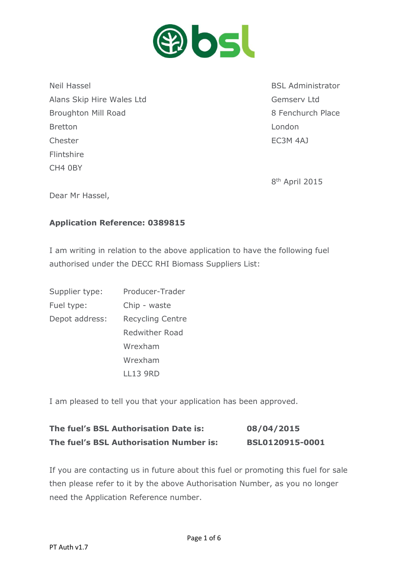

Neil Hassel **BSL Administrator** Alans Skip Hire Wales Ltd Gemserv Ltd Broughton Mill Road 8 Fenchurch Place Bretton London Chester EC3M 4AJ Flintshire CH4 0BY

8 th April 2015

Dear Mr Hassel,

## **Application Reference: 0389815**

I am writing in relation to the above application to have the following fuel authorised under the DECC RHI Biomass Suppliers List:

| Supplier type: | Producer-Trader         |
|----------------|-------------------------|
| Fuel type:     | Chip - waste            |
| Depot address: | <b>Recycling Centre</b> |
|                | <b>Redwither Road</b>   |
|                | Wrexham                 |
|                | Wrexham                 |
|                | <b>LL13 9RD</b>         |
|                |                         |

I am pleased to tell you that your application has been approved.

**The fuel's BSL Authorisation Date is: 08/04/2015 The fuel's BSL Authorisation Number is: BSL0120915-0001**

If you are contacting us in future about this fuel or promoting this fuel for sale then please refer to it by the above Authorisation Number, as you no longer need the Application Reference number.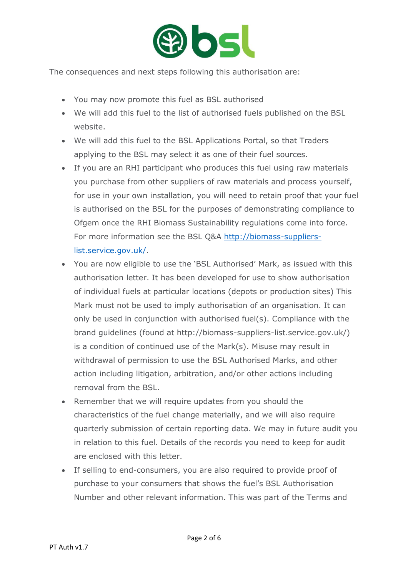

The consequences and next steps following this authorisation are:

- You may now promote this fuel as BSL authorised
- We will add this fuel to the list of authorised fuels published on the BSL website.
- We will add this fuel to the BSL Applications Portal, so that Traders applying to the BSL may select it as one of their fuel sources.
- If you are an RHI participant who produces this fuel using raw materials you purchase from other suppliers of raw materials and process yourself, for use in your own installation, you will need to retain proof that your fuel is authorised on the BSL for the purposes of demonstrating compliance to Ofgem once the RHI Biomass Sustainability regulations come into force. For more information see the BSL Q&A [http://biomass-suppliers](http://biomass-suppliers-list.service.gov.uk/)[list.service.gov.uk/.](http://biomass-suppliers-list.service.gov.uk/)
- You are now eligible to use the 'BSL Authorised' Mark, as issued with this authorisation letter. It has been developed for use to show authorisation of individual fuels at particular locations (depots or production sites) This Mark must not be used to imply authorisation of an organisation. It can only be used in conjunction with authorised fuel(s). Compliance with the brand guidelines (found at http://biomass-suppliers-list.service.gov.uk/) is a condition of continued use of the Mark(s). Misuse may result in withdrawal of permission to use the BSL Authorised Marks, and other action including litigation, arbitration, and/or other actions including removal from the BSL.
- Remember that we will require updates from you should the characteristics of the fuel change materially, and we will also require quarterly submission of certain reporting data. We may in future audit you in relation to this fuel. Details of the records you need to keep for audit are enclosed with this letter.
- If selling to end-consumers, you are also required to provide proof of purchase to your consumers that shows the fuel's BSL Authorisation Number and other relevant information. This was part of the Terms and